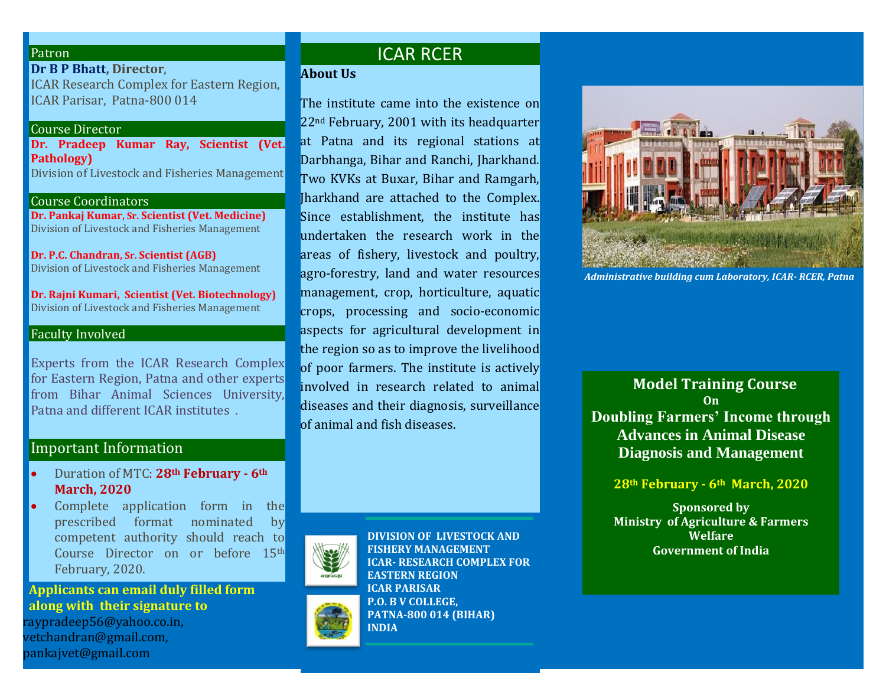#### **Patron**

**Dr B P Bhatt, Director**, ICAR Research Complex for Eastern Region, ICAR Parisar, Patna-800 014

#### Course Director

**Dr. Pradeep Kumar Ray, Scientist (Vet. Pathology)** Division of Livestock and Fisheries Management

Course Coordinators

**Dr. Pankaj Kumar, Sr. Scientist (Vet. Medicine)** Division of Livestock and Fisheries Management

**Dr. P.C. Chandran, Sr. Scientist (AGB)** Division of Livestock and Fisheries Management

**Dr. Rajni Kumari, Scientist (Vet. Biotechnology)** Division of Livestock and Fisheries Management

## Faculty Involved

Experts from the ICAR Research Complex for Eastern Region, Patna and other experts from Bihar Animal Sciences University, Patna and different ICAR institutes .

## Important Information

- Duration of MTC: **28th February - 6th March, 2020**
- Complete application form in the prescribed format nominated by competent authority should reach to Course Director on or before 15th February, 2020.

**Applicants can email duly filled form along with their signature to** raypradeep56@yahoo.co.in[,](mailto:%20pankajvet@gmail.com)  [vetchandran@gmail.com,](mailto:vetchandran@gmail.com) pankajvet@gmail.com

# ICAR RCER

**About Us**

The institute came into the existence on 22nd February, 2001 with its headquarter at Patna and its regional stations at Darbhanga, Bihar and Ranchi, Jharkhand. Two KVKs at Buxar, Bihar and Ramgarh, Jharkhand are attached to the Complex. Since establishment, the institute has undertaken the research work in the areas of fishery, livestock and poultry, agro-forestry, land and water resources management, crop, horticulture, aquatic crops, processing and socio-economic aspects for agricultural development in the region so as to improve the livelihood of poor farmers. The institute is actively involved in research related to animal diseases and their diagnosis, surveillance of animal and fish diseases.



**DIVISION OF LIVESTOCK AND FISHERY MANAGEMENT ICAR- RESEARCH COMPLEX FOR EASTERN REGION ICAR PARISAR P.O. B V COLLEGE, PATNA-800 014 (BIHAR) INDIA** 



 *Administrative building cum Laboratory, ICAR- RCER, Patna*

**Model Training Course On Doubling Farmers' Income through Advances in Animal Disease Diagnosis and Management**

**28th February - 6th March, 2020**

**Sponsored by Ministry of Agriculture & Farmers Welfare Government of India**